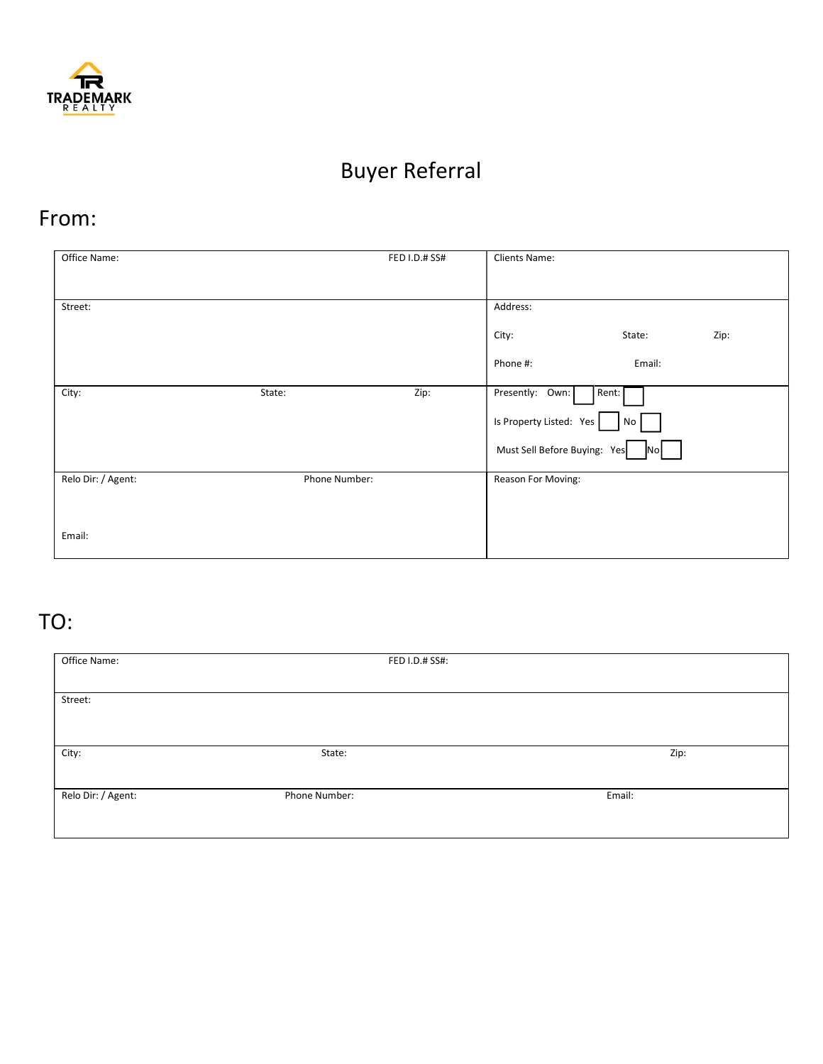

## Buyer Referral

## From:

| Office Name:       |               | FED I.D.# SS# | Clients Name:            |                    |      |  |
|--------------------|---------------|---------------|--------------------------|--------------------|------|--|
|                    |               |               |                          |                    |      |  |
| Street:            |               |               | Address:                 |                    |      |  |
|                    |               |               | City:                    | State:             | Zip: |  |
|                    |               |               | Phone #:                 | Email:             |      |  |
| City:              | State:        | Zip:          | Presently: Own:          | Rent:              |      |  |
|                    |               |               | Is Property Listed: Yes  | No                 |      |  |
|                    |               |               | Must Sell Before Buying: | Yes<br><b>INOI</b> |      |  |
| Relo Dir: / Agent: | Phone Number: |               | Reason For Moving:       |                    |      |  |
|                    |               |               |                          |                    |      |  |
| Email:             |               |               |                          |                    |      |  |

## TO:

| Office Name:       |               | FED I.D.# SS#: |        |
|--------------------|---------------|----------------|--------|
|                    |               |                |        |
| Street:            |               |                |        |
|                    |               |                |        |
|                    |               |                |        |
| City:              | State:        |                | Zip:   |
|                    |               |                |        |
| Relo Dir: / Agent: | Phone Number: |                | Email: |
|                    |               |                |        |
|                    |               |                |        |